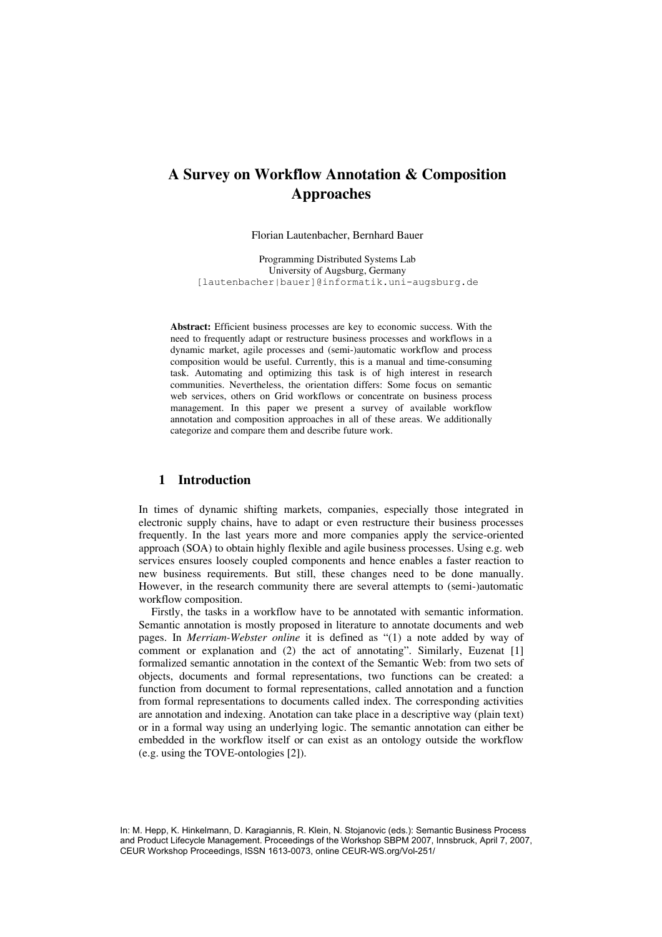# **A Survey on Workflow Annotation & Composition Approaches**

Florian Lautenbacher, Bernhard Bauer

Programming Distributed Systems Lab University of Augsburg, Germany [lautenbacher|bauer]@informatik.uni-augsburg.de

**Abstract:** Efficient business processes are key to economic success. With the need to frequently adapt or restructure business processes and workflows in a dynamic market, agile processes and (semi-)automatic workflow and process composition would be useful. Currently, this is a manual and time-consuming task. Automating and optimizing this task is of high interest in research communities. Nevertheless, the orientation differs: Some focus on semantic web services, others on Grid workflows or concentrate on business process management. In this paper we present a survey of available workflow annotation and composition approaches in all of these areas. We additionally categorize and compare them and describe future work.

## **1 Introduction**

In times of dynamic shifting markets, companies, especially those integrated in electronic supply chains, have to adapt or even restructure their business processes frequently. In the last years more and more companies apply the service-oriented approach (SOA) to obtain highly flexible and agile business processes. Using e.g. web services ensures loosely coupled components and hence enables a faster reaction to new business requirements. But still, these changes need to be done manually. However, in the research community there are several attempts to (semi-)automatic workflow composition.

Firstly, the tasks in a workflow have to be annotated with semantic information. Semantic annotation is mostly proposed in literature to annotate documents and web pages. In *Merriam-Webster online* it is defined as "(1) a note added by way of comment or explanation and (2) the act of annotating". Similarly, Euzenat [1] formalized semantic annotation in the context of the Semantic Web: from two sets of objects, documents and formal representations, two functions can be created: a function from document to formal representations, called annotation and a function from formal representations to documents called index. The corresponding activities are annotation and indexing. Anotation can take place in a descriptive way (plain text) or in a formal way using an underlying logic. The semantic annotation can either be embedded in the workflow itself or can exist as an ontology outside the workflow (e.g. using the TOVE-ontologies [2]).

In: M. Hepp, K. Hinkelmann, D. Karagiannis, R. Klein, N. Stojanovic (eds.): Semantic Business Process and Product Lifecycle Management. Proceedings of the Workshop SBPM 2007, Innsbruck, April 7, 2007, CEUR Workshop Proceedings, ISSN 1613-0073, online CEUR-WS.org/Vol-251/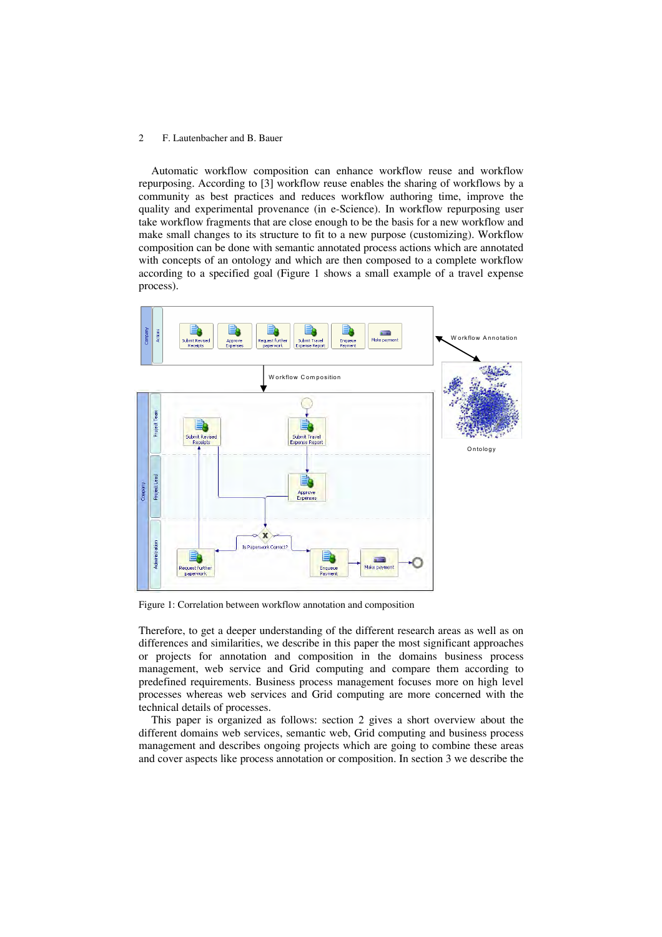Automatic workflow composition can enhance workflow reuse and workflow repurposing. According to [3] workflow reuse enables the sharing of workflows by a community as best practices and reduces workflow authoring time, improve the quality and experimental provenance (in e-Science). In workflow repurposing user take workflow fragments that are close enough to be the basis for a new workflow and make small changes to its structure to fit to a new purpose (customizing). Workflow composition can be done with semantic annotated process actions which are annotated with concepts of an ontology and which are then composed to a complete workflow according to a specified goal (Figure 1 shows a small example of a travel expense process).



Figure 1: Correlation between workflow annotation and composition

Therefore, to get a deeper understanding of the different research areas as well as on differences and similarities, we describe in this paper the most significant approaches or projects for annotation and composition in the domains business process management, web service and Grid computing and compare them according to predefined requirements. Business process management focuses more on high level processes whereas web services and Grid computing are more concerned with the technical details of processes.

This paper is organized as follows: section 2 gives a short overview about the different domains web services, semantic web, Grid computing and business process management and describes ongoing projects which are going to combine these areas and cover aspects like process annotation or composition. In section 3 we describe the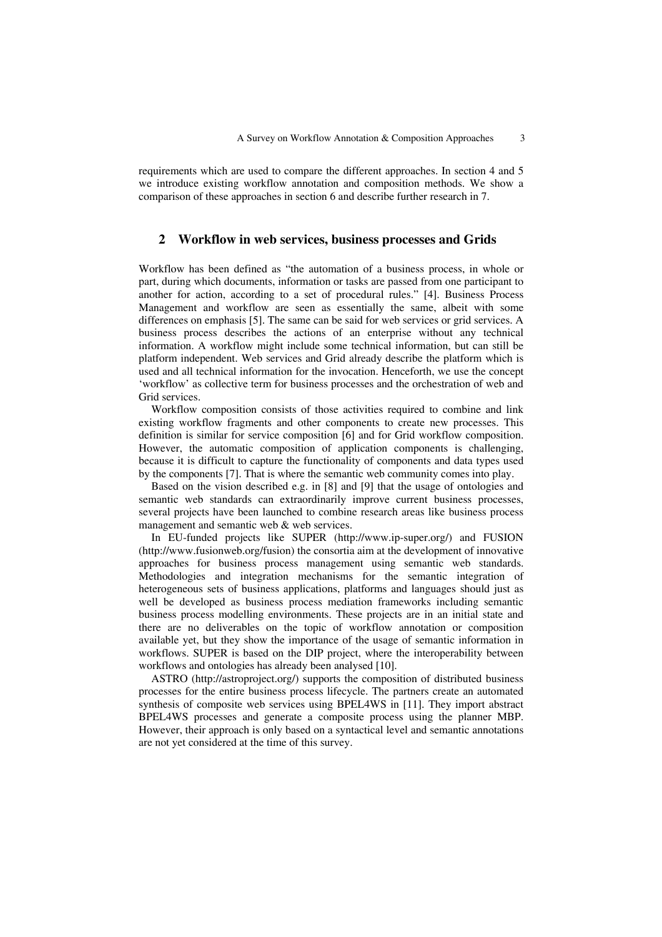requirements which are used to compare the different approaches. In section 4 and 5 we introduce existing workflow annotation and composition methods. We show a comparison of these approaches in section 6 and describe further research in 7.

## **2 Workflow in web services, business processes and Grids**

Workflow has been defined as "the automation of a business process, in whole or part, during which documents, information or tasks are passed from one participant to another for action, according to a set of procedural rules." [4]. Business Process Management and workflow are seen as essentially the same, albeit with some differences on emphasis [5]. The same can be said for web services or grid services. A business process describes the actions of an enterprise without any technical information. A workflow might include some technical information, but can still be platform independent. Web services and Grid already describe the platform which is used and all technical information for the invocation. Henceforth, we use the concept 'workflow' as collective term for business processes and the orchestration of web and Grid services.

Workflow composition consists of those activities required to combine and link existing workflow fragments and other components to create new processes. This definition is similar for service composition [6] and for Grid workflow composition. However, the automatic composition of application components is challenging, because it is difficult to capture the functionality of components and data types used by the components [7]. That is where the semantic web community comes into play.

Based on the vision described e.g. in [8] and [9] that the usage of ontologies and semantic web standards can extraordinarily improve current business processes, several projects have been launched to combine research areas like business process management and semantic web & web services.

In EU-funded projects like SUPER (http://www.ip-super.org/) and FUSION (http://www.fusionweb.org/fusion) the consortia aim at the development of innovative approaches for business process management using semantic web standards. Methodologies and integration mechanisms for the semantic integration of heterogeneous sets of business applications, platforms and languages should just as well be developed as business process mediation frameworks including semantic business process modelling environments. These projects are in an initial state and there are no deliverables on the topic of workflow annotation or composition available yet, but they show the importance of the usage of semantic information in workflows. SUPER is based on the DIP project, where the interoperability between workflows and ontologies has already been analysed [10].

ASTRO (http://astroproject.org/) supports the composition of distributed business processes for the entire business process lifecycle. The partners create an automated synthesis of composite web services using BPEL4WS in [11]. They import abstract BPEL4WS processes and generate a composite process using the planner MBP. However, their approach is only based on a syntactical level and semantic annotations are not yet considered at the time of this survey.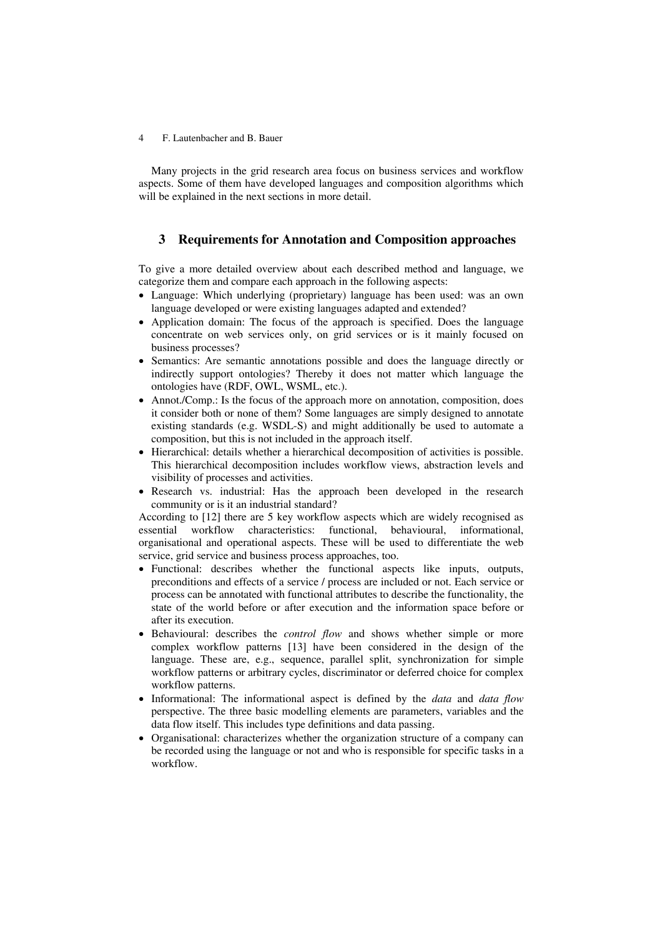Many projects in the grid research area focus on business services and workflow aspects. Some of them have developed languages and composition algorithms which will be explained in the next sections in more detail.

## **3 Requirements for Annotation and Composition approaches**

To give a more detailed overview about each described method and language, we categorize them and compare each approach in the following aspects:

- Language: Which underlying (proprietary) language has been used: was an own language developed or were existing languages adapted and extended?
- Application domain: The focus of the approach is specified. Does the language concentrate on web services only, on grid services or is it mainly focused on business processes?
- Semantics: Are semantic annotations possible and does the language directly or indirectly support ontologies? Thereby it does not matter which language the ontologies have (RDF, OWL, WSML, etc.).
- Annot./Comp.: Is the focus of the approach more on annotation, composition, does it consider both or none of them? Some languages are simply designed to annotate existing standards (e.g. WSDL-S) and might additionally be used to automate a composition, but this is not included in the approach itself.
- Hierarchical: details whether a hierarchical decomposition of activities is possible. This hierarchical decomposition includes workflow views, abstraction levels and visibility of processes and activities.
- Research vs. industrial: Has the approach been developed in the research community or is it an industrial standard?

According to [12] there are 5 key workflow aspects which are widely recognised as essential workflow characteristics: functional, behavioural, informational, organisational and operational aspects. These will be used to differentiate the web service, grid service and business process approaches, too.

- Functional: describes whether the functional aspects like inputs, outputs, preconditions and effects of a service / process are included or not. Each service or process can be annotated with functional attributes to describe the functionality, the state of the world before or after execution and the information space before or after its execution.
- Behavioural: describes the *control flow* and shows whether simple or more complex workflow patterns [13] have been considered in the design of the language. These are, e.g., sequence, parallel split, synchronization for simple workflow patterns or arbitrary cycles, discriminator or deferred choice for complex workflow patterns.
- Informational: The informational aspect is defined by the *data* and *data flow* perspective. The three basic modelling elements are parameters, variables and the data flow itself. This includes type definitions and data passing.
- Organisational: characterizes whether the organization structure of a company can be recorded using the language or not and who is responsible for specific tasks in a workflow.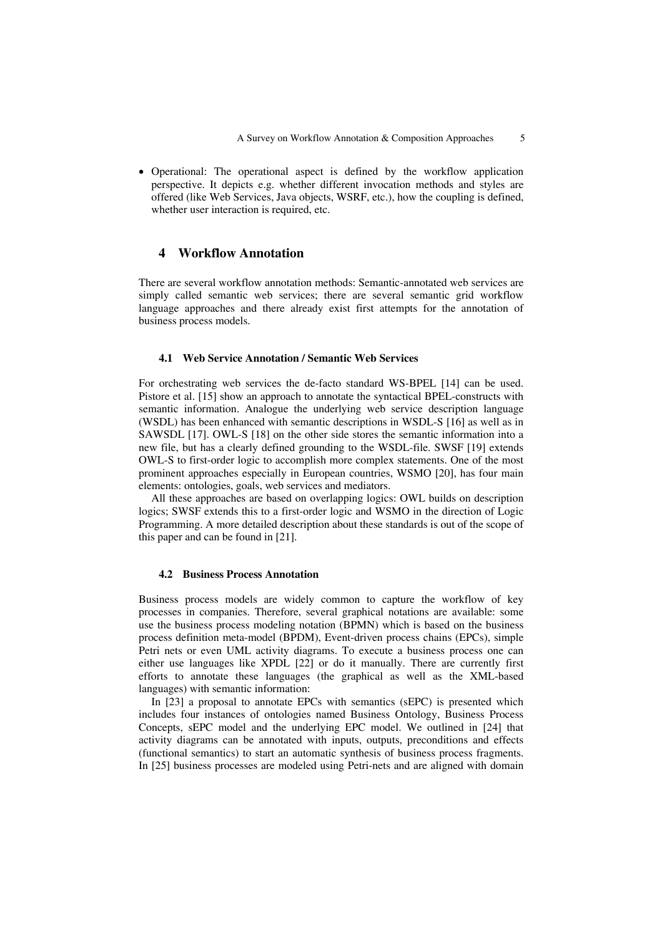• Operational: The operational aspect is defined by the workflow application perspective. It depicts e.g. whether different invocation methods and styles are offered (like Web Services, Java objects, WSRF, etc.), how the coupling is defined, whether user interaction is required, etc.

### **4 Workflow Annotation**

There are several workflow annotation methods: Semantic-annotated web services are simply called semantic web services; there are several semantic grid workflow language approaches and there already exist first attempts for the annotation of business process models.

#### **4.1 Web Service Annotation / Semantic Web Services**

For orchestrating web services the de-facto standard WS-BPEL [14] can be used. Pistore et al. [15] show an approach to annotate the syntactical BPEL-constructs with semantic information. Analogue the underlying web service description language (WSDL) has been enhanced with semantic descriptions in WSDL-S [16] as well as in SAWSDL [17]. OWL-S [18] on the other side stores the semantic information into a new file, but has a clearly defined grounding to the WSDL-file. SWSF [19] extends OWL-S to first-order logic to accomplish more complex statements. One of the most prominent approaches especially in European countries, WSMO [20], has four main elements: ontologies, goals, web services and mediators.

All these approaches are based on overlapping logics: OWL builds on description logics; SWSF extends this to a first-order logic and WSMO in the direction of Logic Programming. A more detailed description about these standards is out of the scope of this paper and can be found in [21].

#### **4.2 Business Process Annotation**

Business process models are widely common to capture the workflow of key processes in companies. Therefore, several graphical notations are available: some use the business process modeling notation (BPMN) which is based on the business process definition meta-model (BPDM), Event-driven process chains (EPCs), simple Petri nets or even UML activity diagrams. To execute a business process one can either use languages like XPDL [22] or do it manually. There are currently first efforts to annotate these languages (the graphical as well as the XML-based languages) with semantic information:

In [23] a proposal to annotate EPCs with semantics (sEPC) is presented which includes four instances of ontologies named Business Ontology, Business Process Concepts, sEPC model and the underlying EPC model. We outlined in [24] that activity diagrams can be annotated with inputs, outputs, preconditions and effects (functional semantics) to start an automatic synthesis of business process fragments. In [25] business processes are modeled using Petri-nets and are aligned with domain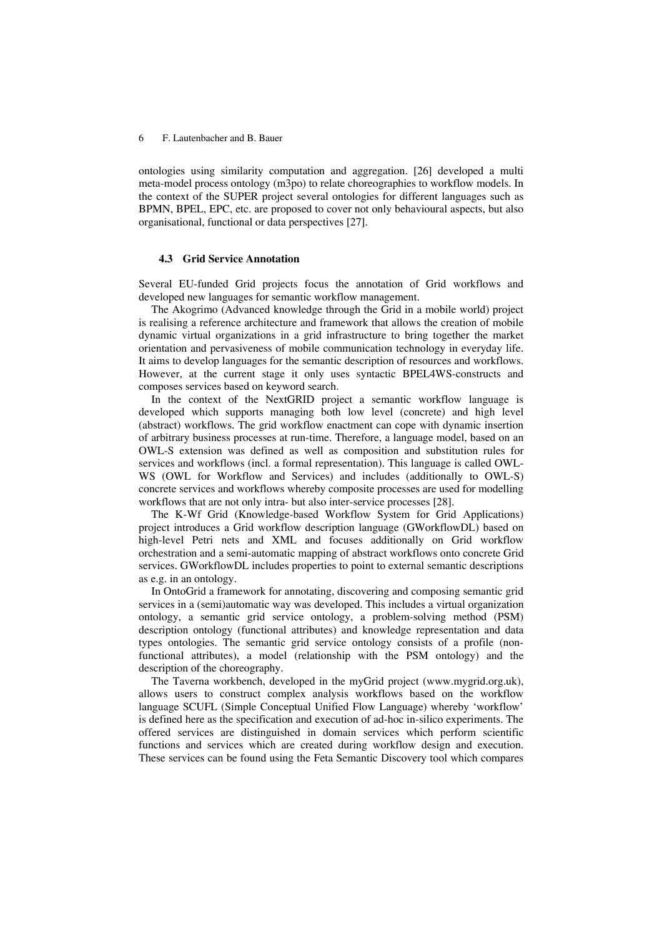ontologies using similarity computation and aggregation. [26] developed a multi meta-model process ontology (m3po) to relate choreographies to workflow models. In the context of the SUPER project several ontologies for different languages such as BPMN, BPEL, EPC, etc. are proposed to cover not only behavioural aspects, but also organisational, functional or data perspectives [27].

#### **4.3 Grid Service Annotation**

Several EU-funded Grid projects focus the annotation of Grid workflows and developed new languages for semantic workflow management.

The Akogrimo (Advanced knowledge through the Grid in a mobile world) project is realising a reference architecture and framework that allows the creation of mobile dynamic virtual organizations in a grid infrastructure to bring together the market orientation and pervasiveness of mobile communication technology in everyday life. It aims to develop languages for the semantic description of resources and workflows. However, at the current stage it only uses syntactic BPEL4WS-constructs and composes services based on keyword search.

In the context of the NextGRID project a semantic workflow language is developed which supports managing both low level (concrete) and high level (abstract) workflows. The grid workflow enactment can cope with dynamic insertion of arbitrary business processes at run-time. Therefore, a language model, based on an OWL-S extension was defined as well as composition and substitution rules for services and workflows (incl. a formal representation). This language is called OWL-WS (OWL for Workflow and Services) and includes (additionally to OWL-S) concrete services and workflows whereby composite processes are used for modelling workflows that are not only intra- but also inter-service processes [28].

The K-Wf Grid (Knowledge-based Workflow System for Grid Applications) project introduces a Grid workflow description language (GWorkflowDL) based on high-level Petri nets and XML and focuses additionally on Grid workflow orchestration and a semi-automatic mapping of abstract workflows onto concrete Grid services. GWorkflowDL includes properties to point to external semantic descriptions as e.g. in an ontology.

In OntoGrid a framework for annotating, discovering and composing semantic grid services in a (semi)automatic way was developed. This includes a virtual organization ontology, a semantic grid service ontology, a problem-solving method (PSM) description ontology (functional attributes) and knowledge representation and data types ontologies. The semantic grid service ontology consists of a profile (nonfunctional attributes), a model (relationship with the PSM ontology) and the description of the choreography.

The Taverna workbench, developed in the myGrid project (www.mygrid.org.uk), allows users to construct complex analysis workflows based on the workflow language SCUFL (Simple Conceptual Unified Flow Language) whereby 'workflow' is defined here as the specification and execution of ad-hoc in-silico experiments. The offered services are distinguished in domain services which perform scientific functions and services which are created during workflow design and execution. These services can be found using the Feta Semantic Discovery tool which compares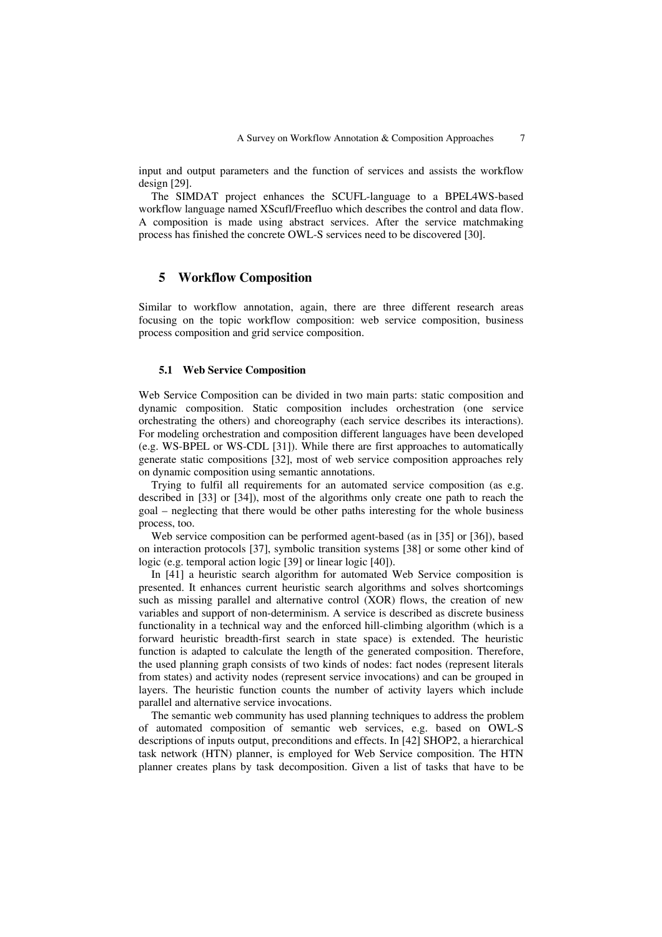input and output parameters and the function of services and assists the workflow design [29].

The SIMDAT project enhances the SCUFL-language to a BPEL4WS-based workflow language named XScufl/Freefluo which describes the control and data flow. A composition is made using abstract services. After the service matchmaking process has finished the concrete OWL-S services need to be discovered [30].

#### **5 Workflow Composition**

Similar to workflow annotation, again, there are three different research areas focusing on the topic workflow composition: web service composition, business process composition and grid service composition.

#### **5.1 Web Service Composition**

Web Service Composition can be divided in two main parts: static composition and dynamic composition. Static composition includes orchestration (one service orchestrating the others) and choreography (each service describes its interactions). For modeling orchestration and composition different languages have been developed (e.g. WS-BPEL or WS-CDL [31]). While there are first approaches to automatically generate static compositions [32], most of web service composition approaches rely on dynamic composition using semantic annotations.

Trying to fulfil all requirements for an automated service composition (as e.g. described in [33] or [34]), most of the algorithms only create one path to reach the goal – neglecting that there would be other paths interesting for the whole business process, too.

Web service composition can be performed agent-based (as in [35] or [36]), based on interaction protocols [37], symbolic transition systems [38] or some other kind of logic (e.g. temporal action logic [39] or linear logic [40]).

In [41] a heuristic search algorithm for automated Web Service composition is presented. It enhances current heuristic search algorithms and solves shortcomings such as missing parallel and alternative control (XOR) flows, the creation of new variables and support of non-determinism. A service is described as discrete business functionality in a technical way and the enforced hill-climbing algorithm (which is a forward heuristic breadth-first search in state space) is extended. The heuristic function is adapted to calculate the length of the generated composition. Therefore, the used planning graph consists of two kinds of nodes: fact nodes (represent literals from states) and activity nodes (represent service invocations) and can be grouped in layers. The heuristic function counts the number of activity layers which include parallel and alternative service invocations.

The semantic web community has used planning techniques to address the problem of automated composition of semantic web services, e.g. based on OWL-S descriptions of inputs output, preconditions and effects. In [42] SHOP2, a hierarchical task network (HTN) planner, is employed for Web Service composition. The HTN planner creates plans by task decomposition. Given a list of tasks that have to be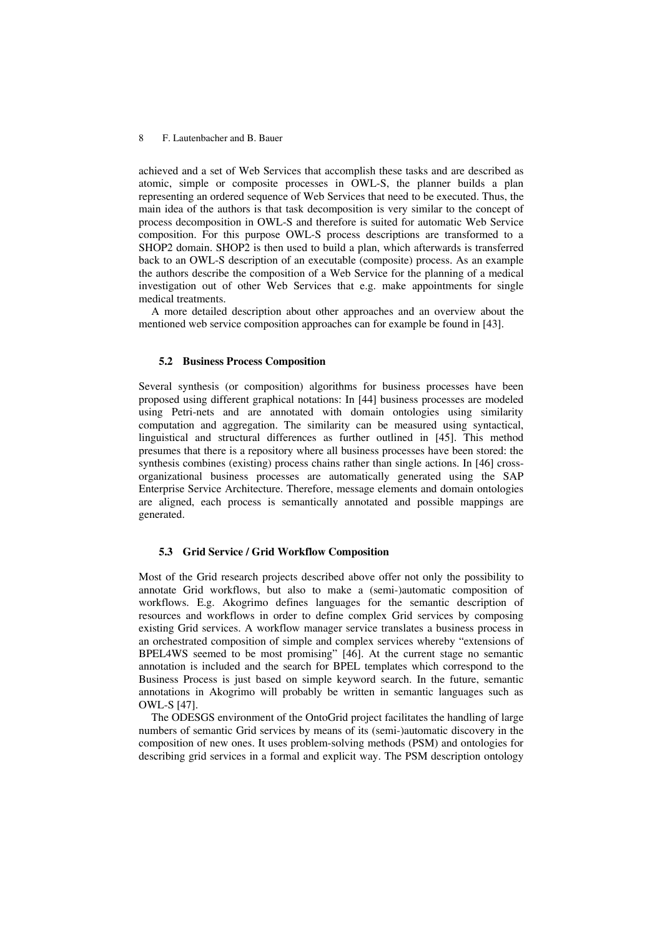achieved and a set of Web Services that accomplish these tasks and are described as atomic, simple or composite processes in OWL-S, the planner builds a plan representing an ordered sequence of Web Services that need to be executed. Thus, the main idea of the authors is that task decomposition is very similar to the concept of process decomposition in OWL-S and therefore is suited for automatic Web Service composition. For this purpose OWL-S process descriptions are transformed to a SHOP2 domain. SHOP2 is then used to build a plan, which afterwards is transferred back to an OWL-S description of an executable (composite) process. As an example the authors describe the composition of a Web Service for the planning of a medical investigation out of other Web Services that e.g. make appointments for single medical treatments.

A more detailed description about other approaches and an overview about the mentioned web service composition approaches can for example be found in [43].

#### **5.2 Business Process Composition**

Several synthesis (or composition) algorithms for business processes have been proposed using different graphical notations: In [44] business processes are modeled using Petri-nets and are annotated with domain ontologies using similarity computation and aggregation. The similarity can be measured using syntactical, linguistical and structural differences as further outlined in [45]. This method presumes that there is a repository where all business processes have been stored: the synthesis combines (existing) process chains rather than single actions. In [46] crossorganizational business processes are automatically generated using the SAP Enterprise Service Architecture. Therefore, message elements and domain ontologies are aligned, each process is semantically annotated and possible mappings are generated.

#### **5.3 Grid Service / Grid Workflow Composition**

Most of the Grid research projects described above offer not only the possibility to annotate Grid workflows, but also to make a (semi-)automatic composition of workflows. E.g. Akogrimo defines languages for the semantic description of resources and workflows in order to define complex Grid services by composing existing Grid services. A workflow manager service translates a business process in an orchestrated composition of simple and complex services whereby "extensions of BPEL4WS seemed to be most promising" [46]. At the current stage no semantic annotation is included and the search for BPEL templates which correspond to the Business Process is just based on simple keyword search. In the future, semantic annotations in Akogrimo will probably be written in semantic languages such as OWL-S [47].

The ODESGS environment of the OntoGrid project facilitates the handling of large numbers of semantic Grid services by means of its (semi-)automatic discovery in the composition of new ones. It uses problem-solving methods (PSM) and ontologies for describing grid services in a formal and explicit way. The PSM description ontology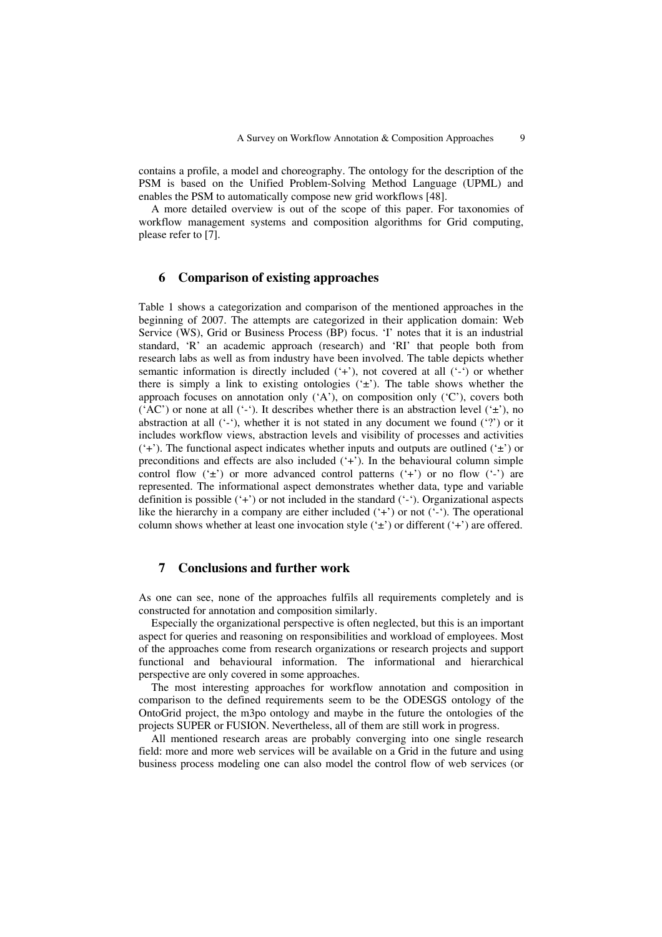contains a profile, a model and choreography. The ontology for the description of the PSM is based on the Unified Problem-Solving Method Language (UPML) and enables the PSM to automatically compose new grid workflows [48].

A more detailed overview is out of the scope of this paper. For taxonomies of workflow management systems and composition algorithms for Grid computing, please refer to [7].

#### **6 Comparison of existing approaches**

Table 1 shows a categorization and comparison of the mentioned approaches in the beginning of 2007. The attempts are categorized in their application domain: Web Service (WS), Grid or Business Process (BP) focus. 'I' notes that it is an industrial standard, 'R' an academic approach (research) and 'RI' that people both from research labs as well as from industry have been involved. The table depicts whether semantic information is directly included  $(4)$ , not covered at all  $(4)$  or whether there is simply a link to existing ontologies  $(\pm)$ . The table shows whether the approach focuses on annotation only  $(A)$ , on composition only  $(C)$ , covers both ('AC') or none at all ('-'). It describes whether there is an abstraction level (' $\pm$ '), no abstraction at all  $(4)$ , whether it is not stated in any document we found  $(4)$  or it includes workflow views, abstraction levels and visibility of processes and activities  $(2+')$ . The functional aspect indicates whether inputs and outputs are outlined  $(2+')$  or preconditions and effects are also included ('+'). In the behavioural column simple control flow  $(\pm)$  or more advanced control patterns  $(\pm)$  or no flow  $(\pm)$  are represented. The informational aspect demonstrates whether data, type and variable definition is possible ('+') or not included in the standard ('-'). Organizational aspects like the hierarchy in a company are either included  $(4)$  or not  $(4)$ . The operational column shows whether at least one invocation style  $(\pm)$  or different  $(\pm)$  are offered.

## **7 Conclusions and further work**

As one can see, none of the approaches fulfils all requirements completely and is constructed for annotation and composition similarly.

Especially the organizational perspective is often neglected, but this is an important aspect for queries and reasoning on responsibilities and workload of employees. Most of the approaches come from research organizations or research projects and support functional and behavioural information. The informational and hierarchical perspective are only covered in some approaches.

The most interesting approaches for workflow annotation and composition in comparison to the defined requirements seem to be the ODESGS ontology of the OntoGrid project, the m3po ontology and maybe in the future the ontologies of the projects SUPER or FUSION. Nevertheless, all of them are still work in progress.

All mentioned research areas are probably converging into one single research field: more and more web services will be available on a Grid in the future and using business process modeling one can also model the control flow of web services (or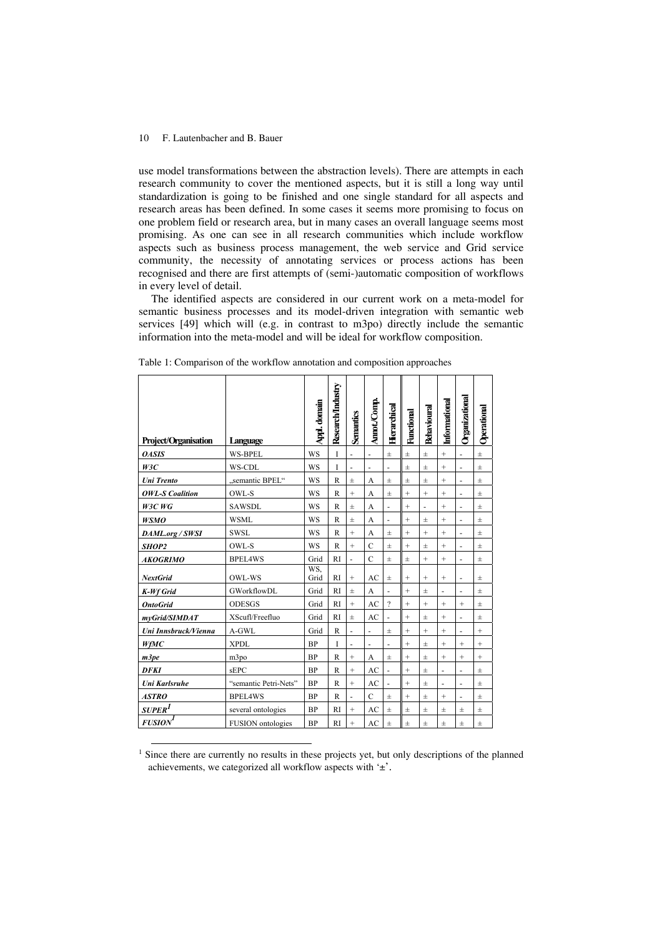l

use model transformations between the abstraction levels). There are attempts in each research community to cover the mentioned aspects, but it is still a long way until standardization is going to be finished and one single standard for all aspects and research areas has been defined. In some cases it seems more promising to focus on one problem field or research area, but in many cases an overall language seems most promising. As one can see in all research communities which include workflow aspects such as business process management, the web service and Grid service community, the necessity of annotating services or process actions has been recognised and there are first attempts of (semi-)automatic composition of workflows in every level of detail.

The identified aspects are considered in our current work on a meta-model for semantic business processes and its model-driven integration with semantic web services [49] which will (e.g. in contrast to m3po) directly include the semantic information into the meta-model and will be ideal for workflow composition.

| <b>Project/Organisation</b> | Language                 | Appl. domain | Research/Industry | Senantics                | Amot/Comp.     | Herarchical              | Functional        | <b>Behavioural</b>       | Informational     | Organizational | Operational |
|-----------------------------|--------------------------|--------------|-------------------|--------------------------|----------------|--------------------------|-------------------|--------------------------|-------------------|----------------|-------------|
| <b>OASIS</b>                | <b>WS-BPEL</b>           | <b>WS</b>    | T                 | ÷,                       |                | $\pm$                    | $\pm$             | $\pm$                    | $^+$              |                | $\pm$       |
| W3C                         | WS-CDL                   | WS           | T                 | $\overline{\phantom{m}}$ | ÷,             | ÷,                       | $\pm$             | $\pm$                    | $+$               | ÷,             | $\pm$       |
| <b>Uni</b> Trento           | "semantic BPEL"          | WS           | $\mathbb{R}$      | $\pm$                    | А              | $\pm$                    | $\pm$             | $\pm$                    | $^{+}$            |                | $\pm$       |
| <b>OWL-S Coalition</b>      | OWL-S                    | WS           | $\mathbb{R}$      | $^{+}$                   | A              | $\pm$                    | $\qquad \qquad +$ | $^{+}$                   | $+$               |                | $+$         |
| $W3C$ $WG$                  | <b>SAWSDL</b>            | WS           | $\mathbb{R}$      | $\pm$                    | A              | $\overline{\phantom{a}}$ | $^{+}$            | $\overline{\phantom{0}}$ | $\qquad \qquad +$ | ÷,             | $\pm$       |
| <b>WSMO</b>                 | <b>WSML</b>              | WS           | $\mathbb{R}$      | $\pm$                    | А              | $\overline{a}$           | $^{+}$            | $\pm$                    | $+$               |                | $\pm$       |
| DAML.org / SWSI             | <b>SWSL</b>              | WS           | $\mathbb{R}$      | $^{+}$                   | А              | $\pm$                    | $\ddot{}$         | $\ddot{}$                | $+$               | ÷,             | $\pm$       |
| SHOP2                       | OWL-S                    | WS           | $\mathbb{R}$      | $^{+}$                   | $\mathcal{C}$  | $\pm$                    | $\ddot{}$         | $\pm$                    | $^{+}$            |                | $\pm$       |
| <b>AKOGRIMO</b>             | <b>BPEL4WS</b>           | Grid         | RI                | ä,                       | $\mathcal{C}$  | $\pm$                    | $\pm$             | $^{+}$                   | $+$               | L,             | $\pm$       |
| <b>NextGrid</b>             | OWL-WS                   | WS.<br>Grid  | <b>RI</b>         | $\qquad \qquad +$        | AC             | $\pm$                    | $\qquad \qquad +$ | $\qquad \qquad +$        | $^{+}$            | ä,             | $\pm$       |
| <b>K-Wf Grid</b>            | GWorkflowDL              | Grid         | RI                | $\pm$                    | A              | ÷,                       | $^{+}$            | $\pm$                    | ÷,                | ÷,             | $\pm$       |
| <b>Onto Grid</b>            | <b>ODESGS</b>            | Grid         | <b>RI</b>         | $^{+}$                   | AC             | $\overline{\phantom{a}}$ | $\qquad \qquad +$ | $^{+}$                   | $+$               | $^{+}$         | $\pm$       |
| myGrid/SIMDAT               | XScufl/Freefluo          | Grid         | <b>RI</b>         | $\pm$                    | AC             |                          | $^{+}$            | $\pm$                    | $^{+}$            | ٠              | $\pm$       |
| Uni Innsbruck/Vienna        | A-GWL                    | Grid         | $\mathbb{R}$      | $\overline{a}$           |                | $\pm$                    | $\ddot{}$         | $^{+}$                   | $^{+}$            |                | $\ddot{}$   |
| WfMC                        | <b>XPDL</b>              | <b>BP</b>    | I                 | ä,                       | ä,             | ä,                       | $^{+}$            | $\pm$                    | $+$               | $^{+}$         | $^{+}$      |
| m3pe                        | m3po                     | <b>BP</b>    | $\mathbb{R}$      | $^{+}$                   | A              | $\pm$                    | $^{+}$            | $\pm$                    | $^{+}$            | $^{+}$         | $^{+}$      |
| <b>DFKI</b>                 | <b>sEPC</b>              | <b>BP</b>    | $\mathbb{R}$      | $^{+}$                   | AC             |                          | $+$               | $\pm$                    | ÷,                |                | $\pm$       |
| Uni Karlsruhe               | "semantic Petri-Nets"    | <b>BP</b>    | $\mathbb{R}$      | $\qquad \qquad +$        | AC             | ä,                       | $^{+}$            | $\pm$                    | ٠                 | ٠              | $\pm$       |
| <b>ASTRO</b>                | <b>BPEL4WS</b>           | <b>BP</b>    | $\mathbb{R}$      | ÷,                       | $\overline{C}$ | $\pm$                    | $+$               | $\pm$                    | $+$               |                | $\pm$       |
| <b>SUPER</b> <sup>1</sup>   | several ontologies       | BP           | <b>RI</b>         | $+$                      | AC             | $\pm$                    | $\pm$             | $\pm$                    | $\pm$             | $\pm$          | $\pm$       |
| <b>FUSION</b>               | <b>FUSION</b> ontologies | <b>BP</b>    | RI                | $\qquad \qquad +$        | AC             | $\pm$                    | $\pm$             | $\pm$                    | $\pm$             | 士              | $_{\pm}$    |

Table 1: Comparison of the workflow annotation and composition approaches

<sup>&</sup>lt;sup>1</sup> Since there are currently no results in these projects yet, but only descriptions of the planned achievements, we categorized all workflow aspects with '±'.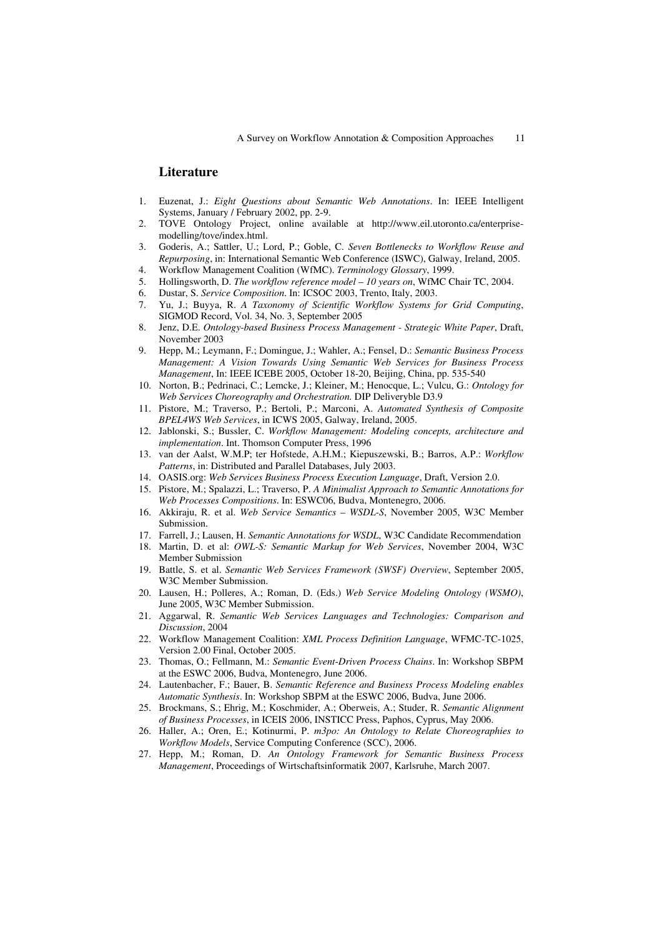## **Literature**

- 1. Euzenat, J.: *Eight Questions about Semantic Web Annotations*. In: IEEE Intelligent Systems, January / February 2002, pp. 2-9.
- 2. TOVE Ontology Project, online available at http://www.eil.utoronto.ca/enterprisemodelling/tove/index.html.
- 3. Goderis, A.; Sattler, U.; Lord, P.; Goble, C. *Seven Bottlenecks to Workflow Reuse and Repurposing*, in: International Semantic Web Conference (ISWC), Galway, Ireland, 2005.
- 4. Workflow Management Coalition (WfMC). *Terminology Glossary*, 1999.
- 5. Hollingsworth, D. *The workflow reference model 10 years on*, WfMC Chair TC, 2004.
- 6. Dustar, S. *Service Composition*. In: ICSOC 2003, Trento, Italy, 2003.
- 7. Yu, J.; Buyya, R. *A Taxonomy of Scientific Workflow Systems for Grid Computing*, SIGMOD Record, Vol. 34, No. 3, September 2005
- 8. Jenz, D.E. *Ontology-based Business Process Management Strategic White Paper*, Draft, November 2003
- 9. Hepp, M.; Leymann, F.; Domingue, J.; Wahler, A.; Fensel, D.: *Semantic Business Process Management: A Vision Towards Using Semantic Web Services for Business Process Management*, In: IEEE ICEBE 2005, October 18-20, Beijing, China, pp. 535-540
- 10. Norton, B.; Pedrinaci, C.; Lemcke, J.; Kleiner, M.; Henocque, L.; Vulcu, G.: *Ontology for Web Services Choreography and Orchestration.* DIP Deliveryble D3.9
- 11. Pistore, M.; Traverso, P.; Bertoli, P.; Marconi, A. *Automated Synthesis of Composite BPEL4WS Web Services*, in ICWS 2005, Galway, Ireland, 2005.
- 12. Jablonski, S.; Bussler, C. *Workflow Management: Modeling concepts, architecture and implementation*. Int. Thomson Computer Press, 1996
- 13. van der Aalst, W.M.P; ter Hofstede, A.H.M.; Kiepuszewski, B.; Barros, A.P.: *Workflow Patterns*, in: Distributed and Parallel Databases, July 2003.
- 14. OASIS.org: *Web Services Business Process Execution Language*, Draft, Version 2.0.
- 15. Pistore, M.; Spalazzi, L.; Traverso, P. *A Minimalist Approach to Semantic Annotations for Web Processes Compositions*. In: ESWC06, Budva, Montenegro, 2006.
- 16. Akkiraju, R. et al. *Web Service Semantics WSDL-S*, November 2005, W3C Member Submission.
- 17. Farrell, J.; Lausen, H. *Semantic Annotations for WSDL*, W3C Candidate Recommendation
- 18. Martin, D. et al: *OWL-S: Semantic Markup for Web Services*, November 2004, W3C Member Submission
- 19. Battle, S. et al. *Semantic Web Services Framework (SWSF) Overview*, September 2005, W3C Member Submission.
- 20. Lausen, H.; Polleres, A.; Roman, D. (Eds.) *Web Service Modeling Ontology (WSMO)*, June 2005, W3C Member Submission.
- 21. Aggarwal, R. *Semantic Web Services Languages and Technologies: Comparison and Discussion*, 2004
- 22. Workflow Management Coalition: *XML Process Definition Language*, WFMC-TC-1025, Version 2.00 Final, October 2005.
- 23. Thomas, O.; Fellmann, M.: *Semantic Event-Driven Process Chains*. In: Workshop SBPM at the ESWC 2006, Budva, Montenegro, June 2006.
- 24. Lautenbacher, F.; Bauer, B. *Semantic Reference and Business Process Modeling enables Automatic Synthesis*. In: Workshop SBPM at the ESWC 2006, Budva, June 2006.
- 25. Brockmans, S.; Ehrig, M.; Koschmider, A.; Oberweis, A.; Studer, R. *Semantic Alignment of Business Processes*, in ICEIS 2006, INSTICC Press, Paphos, Cyprus, May 2006.
- 26. Haller, A.; Oren, E.; Kotinurmi, P. *m3po: An Ontology to Relate Choreographies to Workflow Models*, Service Computing Conference (SCC), 2006.
- 27. Hepp, M.; Roman, D. *An Ontology Framework for Semantic Business Process Management*, Proceedings of Wirtschaftsinformatik 2007, Karlsruhe, March 2007.